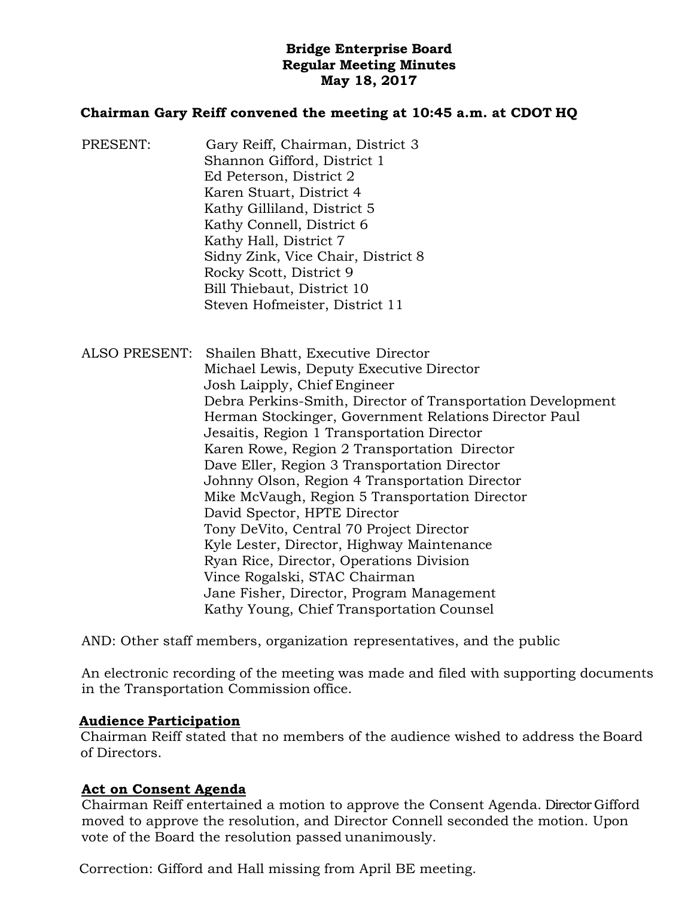# **Bridge Enterprise Board Regular Meeting Minutes May 18, 2017**

### **Chairman Gary Reiff convened the meeting at 10:45 a.m. at CDOT HQ**

PRESENT: Gary Reiff, Chairman, District 3 Shannon Gifford, District 1 Ed Peterson, District 2 Karen Stuart, District 4 Kathy Gilliland, District 5 Kathy Connell, District 6 Kathy Hall, District 7 Sidny Zink, Vice Chair, District 8 Rocky Scott, District 9 Bill Thiebaut, District 10 Steven Hofmeister, District 11

ALSO PRESENT: Shailen Bhatt, Executive Director Michael Lewis, Deputy Executive Director Josh Laipply, Chief Engineer Debra Perkins-Smith, Director of Transportation Development Herman Stockinger, Government Relations Director Paul Jesaitis, Region 1 Transportation Director Karen Rowe, Region 2 Transportation Director Dave Eller, Region 3 Transportation Director Johnny Olson, Region 4 Transportation Director Mike McVaugh, Region 5 Transportation Director David Spector, HPTE Director Tony DeVito, Central 70 Project Director Kyle Lester, Director, Highway Maintenance Ryan Rice, Director, Operations Division Vince Rogalski, STAC Chairman Jane Fisher, Director, Program Management Kathy Young, Chief Transportation Counsel

AND: Other staff members, organization representatives, and the public

An electronic recording of the meeting was made and filed with supporting documents in the Transportation Commission office.

#### **Audience Participation**

Chairman Reiff stated that no members of the audience wished to address the Board of Directors.

### **Act on Consent Agenda**

Chairman Reiff entertained a motion to approve the Consent Agenda. Director Gifford moved to approve the resolution, and Director Connell seconded the motion. Upon vote of the Board the resolution passed unanimously.

Correction: Gifford and Hall missing from April BE meeting.